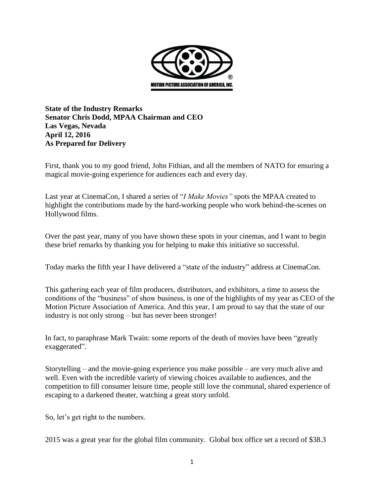

**State of the Industry Remarks Senator Chris Dodd, MPAA Chairman and CEO Las Vegas, Nevada April 12, 2016 As Prepared for Delivery**

First, thank you to my good friend, John Fithian, and all the members of NATO for ensuring a magical movie-going experience for audiences each and every day.

Last year at CinemaCon, I shared a series of "*I Make Movies"* spots the MPAA created to highlight the contributions made by the hard-working people who work behind-the-scenes on Hollywood films.

Over the past year, many of you have shown these spots in your cinemas, and I want to begin these brief remarks by thanking you for helping to make this initiative so successful.

Today marks the fifth year I have delivered a "state of the industry" address at CinemaCon.

This gathering each year of film producers, distributors, and exhibitors, a time to assess the conditions of the "business" of show business, is one of the highlights of my year as CEO of the Motion Picture Association of America. And this year, I am proud to say that the state of our industry is not only strong – but has never been stronger!

In fact, to paraphrase Mark Twain: some reports of the death of movies have been "greatly exaggerated".

Storytelling – and the movie-going experience you make possible – are very much alive and well. Even with the incredible variety of viewing choices available to audiences, and the competition to fill consumer leisure time, people still love the communal, shared experience of escaping to a darkened theater, watching a great story unfold.

So, let's get right to the numbers.

2015 was a great year for the global film community. Global box office set a record of \$38.3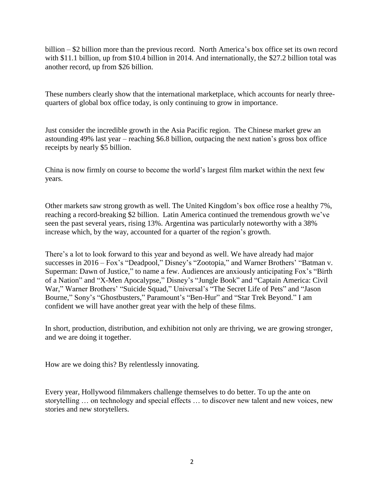billion – \$2 billion more than the previous record. North America's box office set its own record with \$11.1 billion, up from \$10.4 billion in 2014. And internationally, the \$27.2 billion total was another record, up from \$26 billion.

These numbers clearly show that the international marketplace, which accounts for nearly threequarters of global box office today, is only continuing to grow in importance.

Just consider the incredible growth in the Asia Pacific region. The Chinese market grew an astounding 49% last year – reaching \$6.8 billion, outpacing the next nation's gross box office receipts by nearly \$5 billion.

China is now firmly on course to become the world's largest film market within the next few years.

Other markets saw strong growth as well. The United Kingdom's box office rose a healthy 7%, reaching a record-breaking \$2 billion. Latin America continued the tremendous growth we've seen the past several years, rising 13%. Argentina was particularly noteworthy with a 38% increase which, by the way, accounted for a quarter of the region's growth.

There's a lot to look forward to this year and beyond as well. We have already had major successes in 2016 – Fox's "Deadpool," Disney's "Zootopia," and Warner Brothers' "Batman v. Superman: Dawn of Justice," to name a few. Audiences are anxiously anticipating Fox's "Birth of a Nation" and "X-Men Apocalypse," Disney's "Jungle Book" and "Captain America: Civil War," Warner Brothers' "Suicide Squad," Universal's "The Secret Life of Pets" and "Jason Bourne," Sony's "Ghostbusters," Paramount's "Ben-Hur" and "Star Trek Beyond." I am confident we will have another great year with the help of these films.

In short, production, distribution, and exhibition not only are thriving, we are growing stronger, and we are doing it together.

How are we doing this? By relentlessly innovating.

Every year, Hollywood filmmakers challenge themselves to do better. To up the ante on storytelling … on technology and special effects … to discover new talent and new voices, new stories and new storytellers.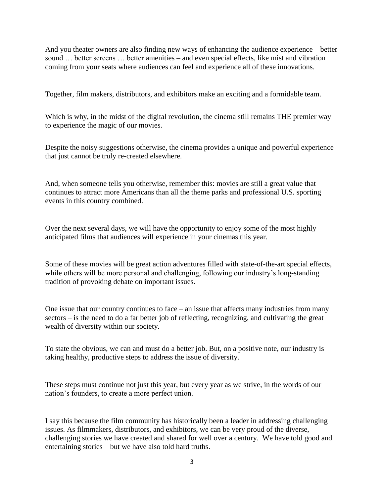And you theater owners are also finding new ways of enhancing the audience experience – better sound … better screens … better amenities – and even special effects, like mist and vibration coming from your seats where audiences can feel and experience all of these innovations.

Together, film makers, distributors, and exhibitors make an exciting and a formidable team.

Which is why, in the midst of the digital revolution, the cinema still remains THE premier way to experience the magic of our movies.

Despite the noisy suggestions otherwise, the cinema provides a unique and powerful experience that just cannot be truly re-created elsewhere.

And, when someone tells you otherwise, remember this: movies are still a great value that continues to attract more Americans than all the theme parks and professional U.S. sporting events in this country combined.

Over the next several days, we will have the opportunity to enjoy some of the most highly anticipated films that audiences will experience in your cinemas this year.

Some of these movies will be great action adventures filled with state-of-the-art special effects, while others will be more personal and challenging, following our industry's long-standing tradition of provoking debate on important issues.

One issue that our country continues to face – an issue that affects many industries from many sectors – is the need to do a far better job of reflecting, recognizing, and cultivating the great wealth of diversity within our society.

To state the obvious, we can and must do a better job. But, on a positive note, our industry is taking healthy, productive steps to address the issue of diversity.

These steps must continue not just this year, but every year as we strive, in the words of our nation's founders, to create a more perfect union.

I say this because the film community has historically been a leader in addressing challenging issues. As filmmakers, distributors, and exhibitors, we can be very proud of the diverse, challenging stories we have created and shared for well over a century. We have told good and entertaining stories – but we have also told hard truths.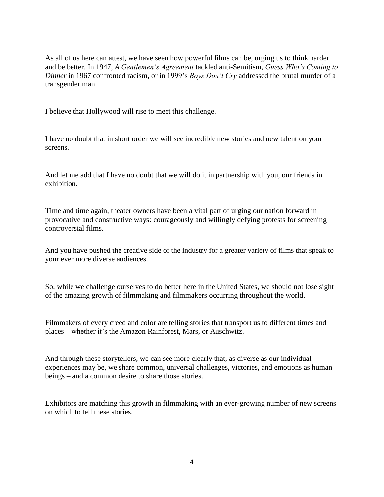As all of us here can attest, we have seen how powerful films can be, urging us to think harder and be better. In 1947, *A Gentlemen's Agreement* tackled anti-Semitism, *Guess Who's Coming to Dinner* in 1967 confronted racism, or in 1999's *Boys Don't Cry* addressed the brutal murder of a transgender man.

I believe that Hollywood will rise to meet this challenge.

I have no doubt that in short order we will see incredible new stories and new talent on your screens.

And let me add that I have no doubt that we will do it in partnership with you, our friends in exhibition.

Time and time again, theater owners have been a vital part of urging our nation forward in provocative and constructive ways: courageously and willingly defying protests for screening controversial films.

And you have pushed the creative side of the industry for a greater variety of films that speak to your ever more diverse audiences.

So, while we challenge ourselves to do better here in the United States, we should not lose sight of the amazing growth of filmmaking and filmmakers occurring throughout the world.

Filmmakers of every creed and color are telling stories that transport us to different times and places – whether it's the Amazon Rainforest, Mars, or Auschwitz.

And through these storytellers, we can see more clearly that, as diverse as our individual experiences may be, we share common, universal challenges, victories, and emotions as human beings – and a common desire to share those stories.

Exhibitors are matching this growth in filmmaking with an ever-growing number of new screens on which to tell these stories.